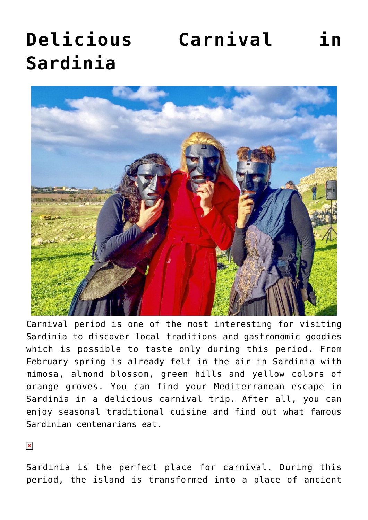# **[Delicious Carnival in](https://www.visitsardinia.vip/delicious-carnival-in-sardinia/) [Sardinia](https://www.visitsardinia.vip/delicious-carnival-in-sardinia/)**



Carnival period is one of the most interesting for visiting Sardinia to discover local traditions and gastronomic goodies which is possible to taste only during this period. From February spring is already felt in the air in Sardinia with mimosa, almond blossom, green hills and yellow colors of orange groves. You can find your Mediterranean escape in Sardinia in a delicious carnival trip. After all, you can enjoy seasonal traditional cuisine and find out what famous Sardinian centenarians eat.

 $\pmb{\times}$ 

Sardinia is the perfect place for carnival. During this period, the island is transformed into a place of ancient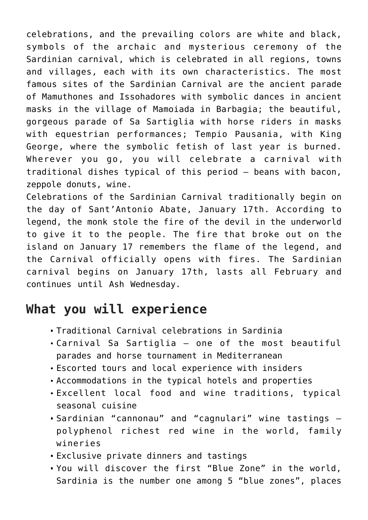celebrations, and the prevailing colors are white and black, symbols of the archaic and mysterious ceremony of the Sardinian carnival, which is celebrated in all regions, towns and villages, each with its own characteristics. The most famous sites of the Sardinian Carnival are the ancient parade of Mamuthones and Issohadores with symbolic dances in ancient masks in the village of Mamoiada in Barbagia; the beautiful, gorgeous parade of Sa Sartiglia with horse riders in masks with equestrian performances; Tempio Pausania, with King George, where the symbolic fetish of last year is burned. Wherever you go, you will celebrate a carnival with traditional dishes typical of this period – beans with bacon, zeppole donuts, wine.

Celebrations of the Sardinian Carnival traditionally begin on the day of Sant'Antonio Abate, January 17th. According to legend, the monk stole the fire of the devil in the underworld to give it to the people. The fire that broke out on the island on January 17 remembers the flame of the legend, and the Carnival officially opens with fires. The Sardinian carnival begins on January 17th, lasts all February and continues until Ash Wednesday.

# **What you will experience**

- Traditional Carnival celebrations in Sardinia
- Carnival Sa Sartiglia one of the most beautiful parades and horse tournament in Mediterranean
- Escorted tours and local experience with insiders
- Accommodations in the typical hotels and properties
- Excellent local food and wine traditions, typical seasonal cuisine
- Sardinian "cannonau" and "cagnulari" wine tastings polyphenol richest red wine in the world, family wineries
- Exclusive private dinners and tastings
- You will discover the first "Blue Zone" in the world, Sardinia is the number one among 5 "blue zones", places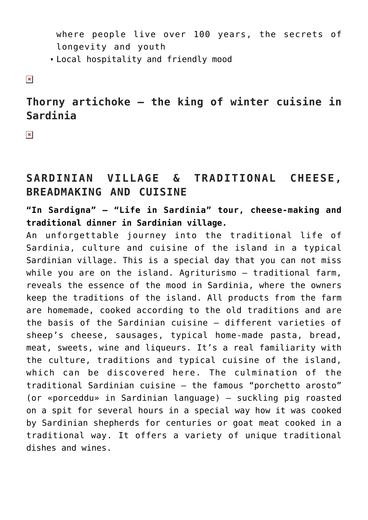where people live over 100 years, the secrets of longevity and youth

Local hospitality and friendly mood

 $\pmb{\times}$ 

# **Thorny artichoke – the king of winter cuisine in Sardinia**

 $\pmb{\times}$ 

# **SARDINIAN VILLAGE & TRADITIONAL CHEESE, BREADMAKING AND CUISINE**

**"In Sardigna" – "Life in Sardinia" tour, cheese-making and traditional dinner in Sardinian village.**

An unforgettable journey into the traditional life of Sardinia, culture and cuisine of the island in a typical Sardinian village. This is a special day that you can not miss while you are on the island. Agriturismo – traditional farm, reveals the essence of the mood in Sardinia, where the owners keep the traditions of the island. All products from the farm are homemade, cooked according to the old traditions and are the basis of the Sardinian cuisine – different varieties of sheep's cheese, sausages, typical home-made pasta, bread, meat, sweets, wine and liqueurs. It's a real familiarity with the culture, traditions and typical cuisine of the island, which can be discovered here. The culmination of the traditional Sardinian cuisine – the famous "porchetto arosto" (or «porceddu» in Sardinian language) – suckling pig roasted on a spit for several hours in a special way how it was cooked by Sardinian shepherds for centuries or goat meat cooked in a traditional way. It offers a variety of unique traditional dishes and wines.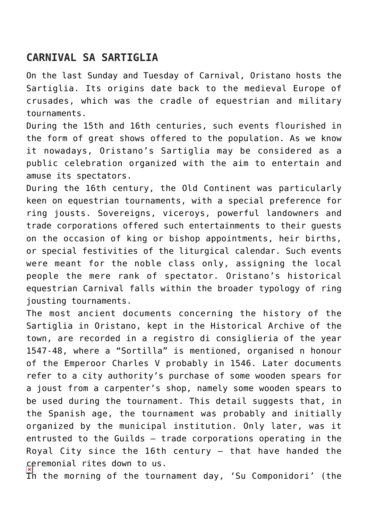# **CARNIVAL SA SARTIGLIA**

On the last Sunday and Tuesday of Carnival, Oristano hosts the Sartiglia. Its origins date back to the medieval Europe of crusades, which was the cradle of equestrian and military tournaments.

During the 15th and 16th centuries, such events flourished in the form of great shows offered to the population. As we know it nowadays, Oristano's Sartiglia may be considered as a public celebration organized with the aim to entertain and amuse its spectators.

During the 16th century, the Old Continent was particularly keen on equestrian tournaments, with a special preference for ring jousts. Sovereigns, viceroys, powerful landowners and trade corporations offered such entertainments to their guests on the occasion of king or bishop appointments, heir births, or special festivities of the liturgical calendar. Such events were meant for the noble class only, assigning the local people the mere rank of spectator. Oristano's historical equestrian Carnival falls within the broader typology of ring jousting tournaments.

The most ancient documents concerning the history of the Sartiglia in Oristano, kept in the Historical Archive of the town, are recorded in a registro di consiglieria of the year 1547-48, where a "Sortilla" is mentioned, organised n honour of the Emperoor Charles V probably in 1546. Later documents refer to a city authority's purchase of some wooden spears for a joust from a carpenter's shop, namely some wooden spears to be used during the tournament. This detail suggests that, in the Spanish age, the tournament was probably and initially organized by the municipal institution. Only later, was it entrusted to the Guilds – trade corporations operating in the Royal City since the 16th century – that have handed the ceremonial rites down to us.

In the morning of the tournament day, 'Su Componidori' (the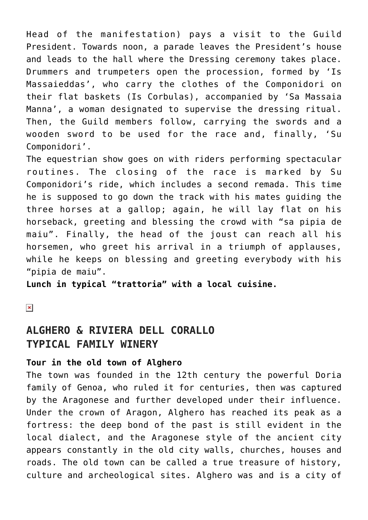Head of the manifestation) pays a visit to the Guild President. Towards noon, a parade leaves the President's house and leads to the hall where the Dressing ceremony takes place. Drummers and trumpeters open the procession, formed by 'Is Massaieddas', who carry the clothes of the Componidori on their flat baskets (Is Corbulas), accompanied by 'Sa Massaia Manna', a woman designated to supervise the dressing ritual. Then, the Guild members follow, carrying the swords and a wooden sword to be used for the race and, finally, 'Su Componidori'.

The equestrian show goes on with riders performing spectacular routines. The closing of the race is marked by Su Componidori's ride, which includes a second remada. This time he is supposed to go down the track with his mates guiding the three horses at a gallop; again, he will lay flat on his horseback, greeting and blessing the crowd with "sa pipia de maiu". Finally, the head of the joust can reach all his horsemen, who greet his arrival in a triumph of applauses, while he keeps on blessing and greeting everybody with his "pipia de maiu".

**Lunch in typical "trattoria" with a local cuisine.**

 $\pmb{\times}$ 

## **ALGHERO & RIVIERA DELL CORALLO TYPICAL FAMILY WINERY**

#### **Tour in the old town of Alghero**

The town was founded in the 12th century the powerful Doria family of Genoa, who ruled it for centuries, then was captured by the Aragonese and further developed under their influence. Under the crown of Aragon, Alghero has reached its peak as a fortress: the deep bond of the past is still evident in the local dialect, and the Aragonese style of the ancient city appears constantly in the old city walls, churches, houses and roads. The old town can be called a true treasure of history, culture and archeological sites. Alghero was and is a city of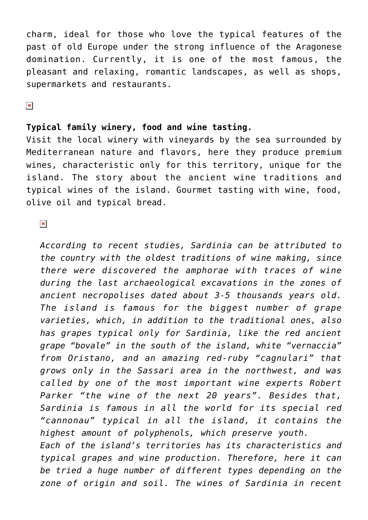charm, ideal for those who love the typical features of the past of old Europe under the strong influence of the Aragonese domination. Currently, it is one of the most famous, the pleasant and relaxing, romantic landscapes, as well as shops, supermarkets and restaurants.

 $\pmb{\times}$ 

#### **Typical family winery, food and wine tasting.**

Visit the local winery with vineyards by the sea surrounded by Mediterranean nature and flavors, here they produce premium wines, characteristic only for this territory, unique for the island. The story about the ancient wine traditions and typical wines of the island. Gourmet tasting with wine, food, olive oil and typical bread.

 $\pmb{\times}$ 

*According to recent studies, Sardinia can be attributed to the country with the oldest traditions of wine making, since there were discovered the amphorae with traces of wine during the last archaeological excavations in the zones of ancient necropolises dated about 3-5 thousands years old. The island is famous for the biggest number of grape varieties, which, in addition to the traditional ones, also has grapes typical only for Sardinia, like the red ancient grape "bovale" in the south of the island, white "vernaccia" from Oristano, and an amazing red-ruby "cagnulari" that grows only in the Sassari area in the northwest, and was called by one of the most important wine experts Robert Parker "the wine of the next 20 years". Besides that, Sardinia is famous in all the world for its special red "cannonau" typical in all the island, it contains the highest amount of polyphenols, which preserve youth. Each of the island's territories has its characteristics and typical grapes and wine production. Therefore, here it can be tried a huge number of different types depending on the zone of origin and soil. The wines of Sardinia in recent*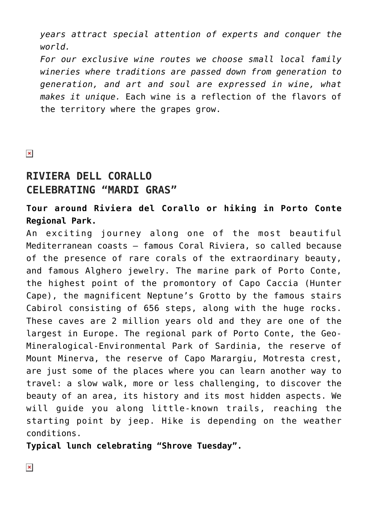*years attract special attention of experts and conquer the world.*

*For our exclusive wine routes we choose small local family wineries where traditions are passed down from generation to generation, and art and soul are expressed in wine, what makes it unique.* Each wine is a reflection of the flavors of the territory where the grapes grow.

 $\pmb{\times}$ 

## **RIVIERA DELL CORALLO CELEBRATING "MARDI GRAS"**

## **Tour around Riviera del Corallo or hiking in Porto Conte Regional Park.**

An exciting journey along one of the most beautiful Mediterranean coasts – famous Coral Riviera, so called because of the presence of rare corals of the extraordinary beauty, and famous Alghero jewelry. The marine park of Porto Conte, the highest point of the promontory of Capo Caccia (Hunter Cape), the magnificent Neptune's Grotto by the famous stairs Cabirol consisting of 656 steps, along with the huge rocks. These caves are 2 million years old and they are one of the largest in Europe. The regional park of Porto Conte, the Geo-Mineralogical-Environmental Park of Sardinia, the reserve of Mount Minerva, the reserve of Capo Marargiu, Motresta crest, are just some of the places where you can learn another way to travel: a slow walk, more or less challenging, to discover the beauty of an area, its history and its most hidden aspects. We will guide you along little-known trails, reaching the starting point by jeep. Hike is depending on the weather conditions.

**Typical lunch celebrating "Shrove Tuesday".**

 $\pmb{\times}$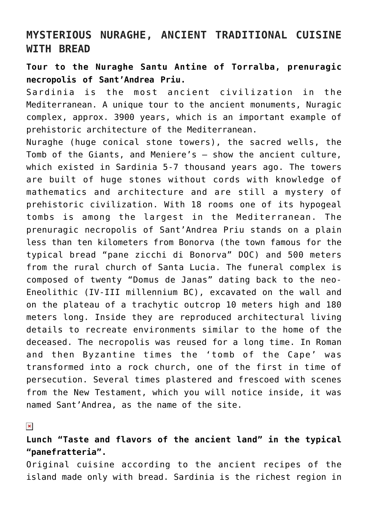## **MYSTERIOUS NURAGHE, ANCIENT TRADITIONAL CUISINE WITH BREAD**

#### **Tour to the Nuraghe Santu Antine of Torralba, prenuragic necropolis of Sant'Andrea Priu.**

Sardinia is the most ancient civilization in the Mediterranean. A unique tour to the ancient monuments, Nuragic complex, approx. 3900 years, which is an important example of prehistoric architecture of the Mediterranean.

Nuraghe (huge conical stone towers), the sacred wells, the Tomb of the Giants, and Meniere's – show the ancient culture, which existed in Sardinia 5-7 thousand years ago. The towers are built of huge stones without cords with knowledge of mathematics and architecture and are still a mystery of prehistoric civilization. With 18 rooms one of its hypogeal tombs is among the largest in the Mediterranean. The prenuragic necropolis of Sant'Andrea Priu stands on a plain less than ten kilometers from Bonorva (the town famous for the typical bread "pane zicchi di Bonorva" DOC) and 500 meters from the rural church of Santa Lucia. The funeral complex is composed of twenty "Domus de Janas" dating back to the neo-Eneolithic (IV-III millennium BC), excavated on the wall and on the plateau of a trachytic outcrop 10 meters high and 180 meters long. Inside they are reproduced architectural living details to recreate environments similar to the home of the deceased. The necropolis was reused for a long time. In Roman and then Byzantine times the 'tomb of the Cape' was transformed into a rock church, one of the first in time of persecution. Several times plastered and frescoed with scenes from the New Testament, which you will notice inside, it was named Sant'Andrea, as the name of the site.

 $\pmb{\times}$ 

### **Lunch "Taste and flavors of the ancient land" in the typical "panefratteria".**

Original cuisine according to the ancient recipes of the island made only with bread. Sardinia is the richest region in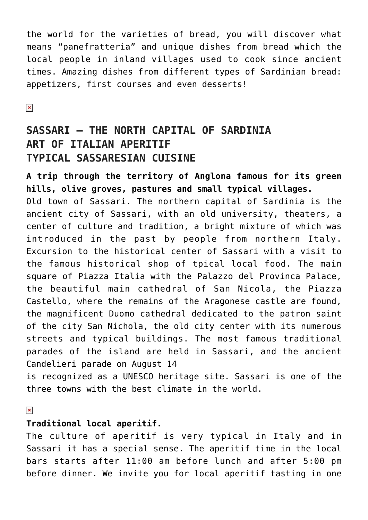the world for the varieties of bread, you will discover what means "panefratteria" and unique dishes from bread which the local people in inland villages used to cook since ancient times. Amazing dishes from different types of Sardinian bread: appetizers, first courses and even desserts!

 $\pmb{\times}$ 

# **SASSARI – THE NORTH CAPITAL OF SARDINIA ART OF ITALIAN APERITIF TYPICAL SASSARESIAN CUISINE**

**A trip through the territory of Anglona famous for its green hills, olive groves, pastures and small typical villages.** Old town of Sassari. The northern capital of Sardinia is the ancient city of Sassari, with an old university, theaters, a center of culture and tradition, a bright mixture of which was introduced in the past by people from northern Italy. Excursion to the historical center of Sassari with a visit to the famous historical shop of tpical local food. The main square of Piazza Italia with the Palazzo del Provinca Palace, the beautiful main cathedral of San Nicola, the Piazza Castello, where the remains of the Aragonese castle are found, the magnificent Duomo cathedral dedicated to the patron saint of the city San Nichola, the old city center with its numerous streets and typical buildings. The most famous traditional parades of the island are held in Sassari, and the ancient Candelieri parade on August 14

is recognized as a UNESCO heritage site. Sassari is one of the three towns with the best climate in the world.

#### $\pmb{\times}$

#### **Traditional local aperitif.**

The culture of aperitif is very typical in Italy and in Sassari it has a special sense. The aperitif time in the local bars starts after 11:00 am before lunch and after 5:00 pm before dinner. We invite you for local aperitif tasting in one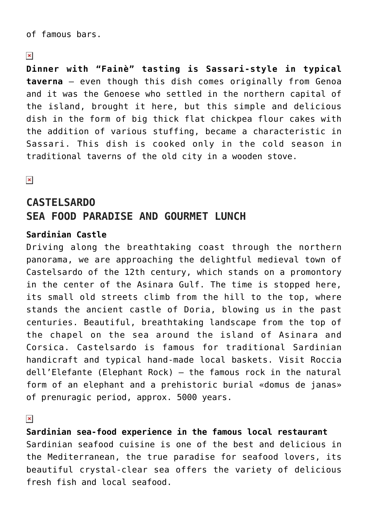of famous bars.

#### $\pmb{\times}$

**Dinner with "Fainè" tasting is Sassari-style in typical taverna** – even though this dish comes originally from Genoa and it was the Genoese who settled in the northern capital of the island, brought it here, but this simple and delicious dish in the form of big thick flat chickpea flour cakes with the addition of various stuffing, became a characteristic in Sassari. This dish is cooked only in the cold season in traditional taverns of the old city in a wooden stove.

 $\pmb{\times}$ 

# **CASTELSARDO SEA FOOD PARADISE AND GOURMET LUNCH**

#### **Sardinian Castle**

Driving along the breathtaking coast through the northern panorama, we are approaching the delightful medieval town of Castelsardo of the 12th century, which stands on a promontory in the center of the Asinara Gulf. The time is stopped here, its small old streets climb from the hill to the top, where stands the ancient castle of Doria, blowing us in the past centuries. Beautiful, breathtaking landscape from the top of the chapel on the sea around the island of Asinara and Corsica. Castelsardo is famous for traditional Sardinian handicraft and typical hand-made local baskets. Visit Roccia dell'Elefante (Elephant Rock) – the famous rock in the natural form of an elephant and a prehistoric burial «domus de janas» of prenuragic period, approx. 5000 years.

 $\pmb{\times}$ 

**Sardinian sea-food experience in the famous local restaurant** Sardinian seafood cuisine is one of the best and delicious in the Mediterranean, the true paradise for seafood lovers, its beautiful crystal-clear sea offers the variety of delicious fresh fish and local seafood.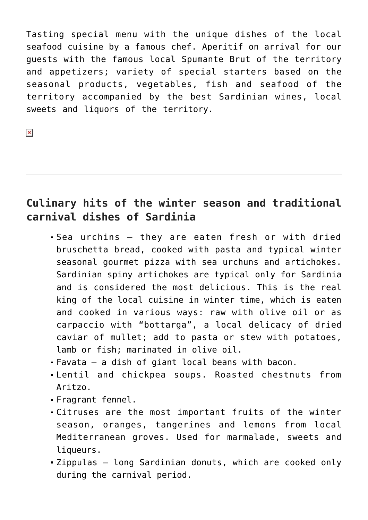Tasting special menu with the unique dishes of the local seafood cuisine by a famous chef. Aperitif on arrival for our guests with the famous local Spumante Brut of the territory and appetizers; variety of special starters based on the seasonal products, vegetables, fish and seafood of the territory accompanied by the best Sardinian wines, local sweets and liquors of the territory.

# **Culinary hits of the winter season and traditional carnival dishes of Sardinia**

- Sea urchins they are eaten fresh or with dried bruschetta bread, cooked with pasta and typical winter seasonal gourmet pizza with sea urchuns and artichokes. Sardinian spiny artichokes are typical only for Sardinia and is considered the most delicious. This is the real king of the local cuisine in winter time, which is eaten and cooked in various ways: raw with olive oil or as carpaccio with "bottarga", a local delicacy of dried caviar of mullet; add to pasta or stew with potatoes, lamb or fish; marinated in olive oil.
- Favata a dish of giant local beans with bacon.
- Lentil and chickpea soups. Roasted chestnuts from Aritzo.
- Fragrant fennel.
- Citruses are the most important fruits of the winter season, oranges, tangerines and lemons from local Mediterranean groves. Used for marmalade, sweets and liqueurs.
- Zippulas long Sardinian donuts, which are cooked only during the carnival period.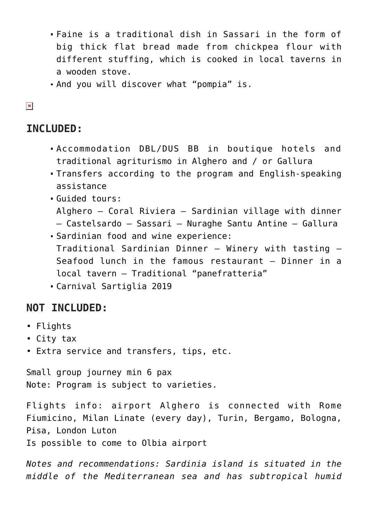- Faine is a traditional dish in Sassari in the form of big thick flat bread made from chickpea flour with different stuffing, which is cooked in local taverns in a wooden stove.
- And you will discover what "pompia" is.

#### $\pmb{\times}$

## **INCLUDED:**

- Accommodation DBL/DUS BB in boutique hotels and traditional agriturismo in Alghero and / or Gallura
- Transfers according to the program and English-speaking assistance
- Guided tours:
	- Alghero Coral Riviera Sardinian village with dinner
	- Castelsardo Sassari Nuraghe Santu Antine Gallura
- Sardinian food and wine experience: Traditional Sardinian Dinner – Winery with tasting – Seafood lunch in the famous restaurant – Dinner in a local tavern – Traditional "panefratteria"
- Carnival Sartiglia 2019

## **NOT INCLUDED:**

- Flights
- City tax
- Extra service and transfers, tips, etc.

Small group journey min 6 pax Note: Program is subject to varieties.

Flights info: airport Alghero is connected with Rome Fiumicino, Milan Linate (every day), Turin, Bergamo, Bologna, Pisa, London Luton

Is possible to come to Olbia airport

*Notes and recommendations: Sardinia island is situated in the middle of the Mediterranean sea and has subtropical humid*